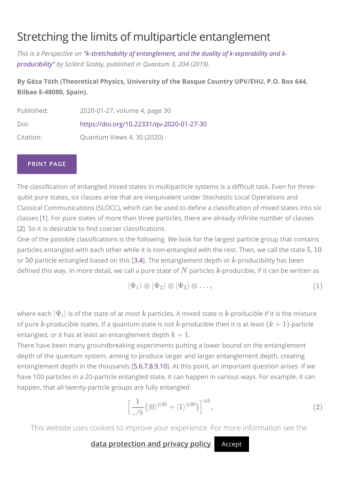# [Stretching the limits of multiparticle entanglement](https://quantum-journal.org/views/qv-2020-01-27-30/%23)

*[This is a Perspective on "k-stretchability of entanglement, and the duality of k-separability and k](https://doi.org/10.22331/q-2019-12-02-204)producibility" by Szilárd Szalay, published in Quantum 3, 204 (2019).*

#### **By Géza Tóth (Theoretical Physics, University of the Basque Country UPV/EHU, P.O. Box 644, Bilbao E-48080, Spain).**

| Published: | 2020-01-27, volume 4, page 30             |
|------------|-------------------------------------------|
| Doi:       | https://doi.org/10.22331/qv-2020-01-27-30 |
| Citation:  | Quantum Views 4, 30 (2020)                |

#### **PRINT PAGE**

The classification of entangled mixed states in multiparticle systems is a difficult task. Even for threequbit pure states, six classes arise that are inequivalent under Stochastic Local Operations and Classical Communications (SLOCC), which can be used to define a classification of mixed states into six classes [\[1\]](#page-3-0). For pure states of more than three particles, there are already infinite number of classes [[2](#page-3-1)]. So it is desirable to find coarser classifications.

One of the possible classifications is the following. We look for the largest particle group that contains particles entangled with each other while it is non-entangled with the rest. Then, we call the state  $5\mathrm{,}10$ or  $50$  particle entangled based on this [\[3,](#page-3-2)[4](#page-3-3)]. The entanglement depth or  $k$ -producibility has been defined this way. In more detail, we call a pure state of  $N$  particles  $k$ -producible, if it can be written as

$$
|\Psi_1\rangle \otimes |\Psi_2\rangle \otimes |\Psi_3\rangle \otimes \ldots, \qquad (1)
$$

where each  $|\Psi_l\rangle$  is of the state of at most  $k$  particles. A mixed state is  $k$ -producible if it is the mixture of pure  $k$ -producible states. If a quantum state is not  $k$ -producible then it is at least  $(k+1)$ -particle entangled, or it has at least an entanglement depth  $k+1.$ 

There have been many groundbreaking experiments putting a lower bound on the entanglement depth of the quantum system, aiming to produce larger and larger entanglement depth, creating entanglement depth in the thousands [\[5](#page-3-4)[,6,](#page-4-0)[7](#page-4-1)[,8,](#page-4-2)[9](#page-4-3),[10\]](#page-4-4). At this point, an important question arises. If we have 100 particles in a 20-particle entangled state, it can happen in various ways. For example, it can happen, that all twenty-particle groups are fully entangled

<span id="page-0-0"></span>
$$
\left[\frac{1}{\sqrt{2}}\left(|0\rangle^{\otimes 20} + |1\rangle^{\otimes 20}\right)\right]^{\otimes 5},\tag{2}
$$

This website uses cookies to improve your experience. For more information see the

[data protection and privacy policy](https://quantum-journal.org/about/terms-and-conditions/%23privacy). Accept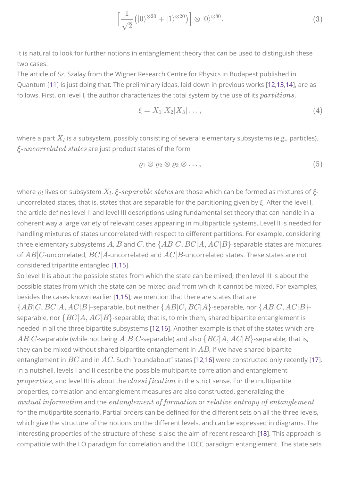<span id="page-1-1"></span>
$$
\left[\frac{1}{\sqrt{2}}\left(|0\rangle^{\otimes 20} + |1\rangle^{\otimes 20}\right)\right] \otimes |0\rangle^{\otimes 80}.\tag{3}
$$

It is natural to look for further notions in entanglement theory that can be used to distinguish these two cases.

The article of Sz. Szalay from the Wigner Research Centre for Physics in Budapest published in Quantum [[11](#page-4-5)] is just doing that. The preliminary ideas, laid down in previous works [[12](#page-4-6)[,13](#page-4-7)[,14\]](#page-4-8), are as follows. First, on level I, the author characterizes the total system by the use of its  $partitions$ ,

<span id="page-1-0"></span>
$$
\xi = X_1 | X_2 | X_3 | \dots,\tag{4}
$$

where a part  $X_l$  is a subsystem, possibly consisting of several elementary subsystems (e.g., particles). are just product states of the form *ξ-uncorrelated states*

$$
\varrho_1 \otimes \varrho_2 \otimes \varrho_3 \otimes \ldots, \qquad (5)
$$

where  $\varrho_l$  lives on subsystem  $X_l.$   $\xi$ - $separable$   $states$  are those which can be formed as mixtures of  $\xi$ uncorrelated states, that is, states that are separable for the partitioning given by  $\xi$ . After the level I, the article defines level II and level III descriptions using fundamental set theory that can handle in a coherent way a large variety of relevant cases appearing in multiparticle systems. Level II is needed for handling mixtures of states uncorrelated with respect to different partitions. For example, considering  $R$  , three elementary subsystems  $A$ ,  $B$  and  $C$ , the  $\{AB|C,BC|A,AC|B\}$ -separable states are mixtures of  $AB|C$  -uncorrelated,  $BC|A$  -uncorrelated and  $AC|B$  -uncorrelated states. These states are not considered tripartite entangled [[1](#page-3-0),[15\]](#page-4-9).

So level II is about the possible states from which the state can be mixed, then level III is about the possible states from which the state can be mixed  $and$  from which it cannot be mixed. For examples, besides the cases known earlier [\[1,](#page-3-0)[15](#page-4-9)], we mention that there are states that are  $\{AB|C, BC|A, AC|B\}$ -separable, but neither  $\{AB|C, BC|A\}$ -separable, nor  $\{AB|C, AC|B\}$ separable, nor  $\{BC|A, AC|B\}$ -separable; that is, to mix them, shared bipartite entanglement is needed in all the three bipartite subsystems [\[12,](#page-4-6)[16](#page-4-10)]. Another example is that of the states which are  $AB|C$ -separable (while not being  $A|B|C$ -separable) and also  $\{BC|A,AC|B\}$ -separable; that is, they can be mixed without shared bipartite entanglement in  $AB$ , if we have shared bipartite entanglement in  $BC$  and in  $AC$ . Such "roundabout" states [\[12](#page-4-6),[16\]](#page-4-10) were constructed only recently [\[17](#page-5-0)]. In a nutshell, levels I and II describe the possible multipartite correlation and entanglement  $properties$ , and level III is about the  $classification$  in the strict sense. For the multipartite properties, correlation and entanglement measures are also constructed, generalizing the and the or *mutual information entanglement of formation relative entropy of entanglement*for the mutipartite scenario. Partial orders can be defined for the different sets on all the three levels, which give the structure of the notions on the different levels, and can be expressed in diagrams. The interesting properties of the structure of these is also the aim of recent research [[18\]](#page-5-1). This approach is compatible with the LO paradigm for correlation and the LOCC paradigm entanglement. The state sets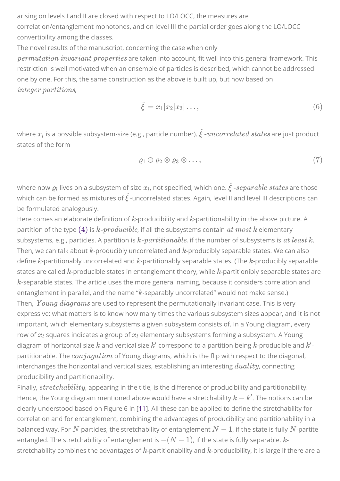arising on levels I and II are closed with respect to LO/LOCC, the measures are correlation/entanglement monotones, and on level III the partial order goes along the LO/LOCC convertibility among the classes.

The novel results of the manuscript, concerning the case when only  $\it permutation~invariant~ properties$  are taken into account, fit well into this general framework. This restriction is well motivated when an ensemble of particles is described, which cannot be addressed one by one. For this, the same construction as the above is built up, but now based on , *integer partitions*

$$
\hat{\xi} = x_1 |x_2 | x_3 | \dots,\tag{6}
$$

where  $x_l$  is a possible subsystem-size (e.g., particle number).  $\hat{\xi}$  *-uncorrelated</math> states* $are just product$ states of the form

$$
\varrho_1 \otimes \varrho_2 \otimes \varrho_3 \otimes \ldots, \qquad \qquad (7)
$$

where now  $\varrho_l$  lives on a subsystem of size  $x_l$ , not specified, which one.  $\hat{\xi}$  *-separable states* are those which can be formed as mixtures of  $\hat{\xi}$  -uncorrelated states. Again, level II and level III descriptions can be formulated analogously.

Here comes an elaborate definition of  $k$ -producibility and  $k$ -partitionability in the above picture. A partition of the type  $(4)$  is  $k\text{-}productible$ , if all the subsystems contain  $\emph{at most } k$  elementary subsystems, e.g., particles. A partition is  $k$ - $partitionable$ , if the number of subsystems is  $\emph{at least } k.$ Then, we can talk about  $k$ -producibly uncorrelated and  $k$ -producibly separable states. We can also define  $k$  partitionably uncorrelated and  $k$  partitionably separable states. (The  $k$  -producibly separable states are called  $k$ -producible states in entanglement theory, while  $k$ -partitionibly separable states are  $\boldsymbol{k}$ -separable states. The article uses the more general naming, because it considers correlation and entanglement in parallel, and the name "k-separably uncorrelated" would not make sense.) Then,  $\emph{Young diagrams}$  are used to represent the permutationally invariant case. This is very expressive: what matters is to know how many times the various subsystem sizes appear, and it is not important, which elementary subsystems a given subsystem consists of. In a Young diagram, every row of  $x_l$  squares indicates a group of  $x_l$  elementary subsystems forming a subsystem. A Young diagram of horizontal size  $k$  and vertical size  $k'$  correspond to a partition being  $k$ -producible and  $k'$ partitionable. The *conjugation* of Young diagrams, which is the flip with respect to the diagonal, interchanges the horizontal and vertical sizes, establishing an interesting  $duality$ , connecting producibility and partitionability.

Finally, stretchability, appearing in the title, is the difference of producibility and partitionability. Hence, the Young diagram mentioned above would have a stretchability  $k-k^\prime$ . The notions can be clearly understood based on Figure 6 in [[11\]](#page-4-5). All these can be applied to define the stretchability for correlation and for entanglement, combining the advantages of producibility and partitionability in a balanced way. For  $N$  particles, the stretchability of entanglement  $N-1$ , if the state is fully  $N$ -partite entangled. The stretchability of entanglement is  $-(N-1)$ , if the state is fully separable.  $k\text{-}$ stretchability combines the advantages of  $k$ -partitionability and  $k$ -producibility, it is large if there are a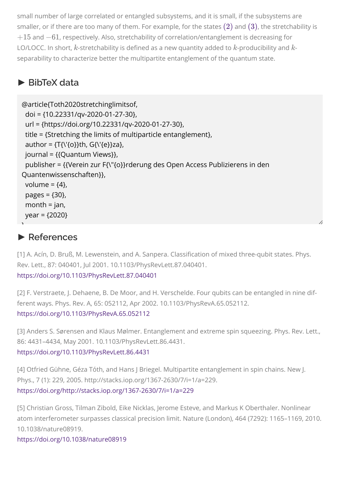small number of large correlated or entangled subsystems, and it is small, if the subsystems are smaller, or if there are too many of them. For example, for the states  $\rm(2)$  $\rm(2)$  and  $\rm(3)$  $\rm(3)$ , the stretchability is  $+15$  and  $-61$ , respectively. Also, stretchability of correlation/entanglement is decreasing for LO/LOCC. In short,  $k$ -stretchability is defined as a new quantity added to  $k$ -producibility and  $k$ separability to characterize better the multipartite entanglement of the quantum state.

## **► [BibTeX data](javascript:void(0);)**

```
@article{Toth2020stretchinglimitsof,
  doi = {10.22331/qv-2020-01-27-30},
  url = {https://doi.org/10.22331/qv-2020-01-27-30},
  title = {Stretching the limits of multiparticle entanglement},
 author = \{T\{\{0\}\}th, G\{\{e\}\}za},
 journal = {{Quantum Views}},
  publisher = {{Verein zur F{\"{o}}rderung des Open Access Publizierens in den
Quantenwissenschaften}},
volume = \{4\},
  pages = {30},
 month = jan,
  year = {2020}
```
### **► [References](javascript:void(0);)**

**ו** 

<span id="page-3-0"></span>[1] A. Acín, D. Bruß, M. Lewenstein, and A. Sanpera. Classification of mixed three-qubit states. Phys. Rev. Lett., 87: 040401, Jul 2001. 10.1103/PhysRevLett.87.040401. <https://doi.org/10.1103/PhysRevLett.87.040401>

<span id="page-3-1"></span>[2] F. Verstraete, J. Dehaene, B. De Moor, and H. Verschelde. Four qubits can be entangled in nine different ways. Phys. Rev. A, 65: 052112, Apr 2002. 10.1103/PhysRevA.65.052112. <https://doi.org/10.1103/PhysRevA.65.052112>

<span id="page-3-2"></span>[3] Anders S. Sørensen and Klaus Mølmer. Entanglement and extreme spin squeezing. Phys. Rev. Lett., 86: 4431–4434, May 2001. 10.1103/PhysRevLett.86.4431.

<https://doi.org/10.1103/PhysRevLett.86.4431>

<span id="page-3-3"></span>[4] Otfried Gühne, Géza Tóth, and Hans J Briegel. Multipartite entanglement in spin chains. New J. Phys., 7 (1): 229, 2005. http://stacks.iop.org/1367-2630/7/i=1/a=229. <https://doi.org/http://stacks.iop.org/1367-2630/7/i=1/a=229>

<span id="page-3-4"></span>[5] Christian Gross, Tilman Zibold, Eike Nicklas, Jerome Esteve, and Markus K Oberthaler. Nonlinear atom interferometer surpasses classical precision limit. Nature (London), 464 (7292): 1165–1169, 2010. 10.1038/nature08919.

<https://doi.org/10.1038/nature08919>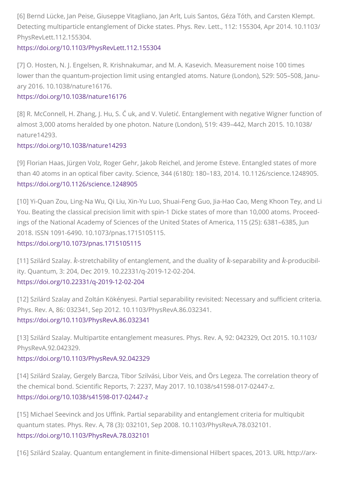<span id="page-4-0"></span>[6] Bernd Lücke, Jan Peise, Giuseppe Vitagliano, Jan Arlt, Luis Santos, Géza Tóth, and Carsten Klempt. Detecting multiparticle entanglement of Dicke states. Phys. Rev. Lett., 112: 155304, Apr 2014. 10.1103/ PhysRevLett.112.155304.

#### <https://doi.org/10.1103/PhysRevLett.112.155304>

<span id="page-4-1"></span>[7] O. Hosten, N. J. Engelsen, R. Krishnakumar, and M. A. Kasevich. Measurement noise 100 times lower than the quantum-projection limit using entangled atoms. Nature (London), 529: 505–508, January 2016. 10.1038/nature16176.

#### <https://doi.org/10.1038/nature16176>

<span id="page-4-2"></span>[8] R. McConnell, H. Zhang, J. Hu, S. Ć uk, and V. Vuletić. Entanglement with negative Wigner function of almost 3,000 atoms heralded by one photon. Nature (London), 519: 439–442, March 2015. 10.1038/ nature14293.

#### <https://doi.org/10.1038/nature14293>

<span id="page-4-3"></span>[9] Florian Haas, Jürgen Volz, Roger Gehr, Jakob Reichel, and Jerome Esteve. Entangled states of more than 40 atoms in an optical fiber cavity. Science, 344 (6180): 180–183, 2014. 10.1126/science.1248905. <https://doi.org/10.1126/science.1248905>

<span id="page-4-4"></span>[10] Yi-Quan Zou, Ling-Na Wu, Qi Liu, Xin-Yu Luo, Shuai-Feng Guo, Jia-Hao Cao, Meng Khoon Tey, and Li You. Beating the classical precision limit with spin-1 Dicke states of more than 10,000 atoms. Proceedings of the National Academy of Sciences of the United States of America, 115 (25): 6381–6385, Jun 2018. ISSN 1091-6490. 10.1073/pnas.1715105115.

#### <https://doi.org/10.1073/pnas.1715105115>

<span id="page-4-5"></span>[11] Szilárd Szalay.  $k$ -stretchability of entanglement, and the duality of  $k$ -separability and  $k$ -producibility. Quantum, 3: 204, Dec 2019. 10.22331/q-2019-12-02-204. <https://doi.org/10.22331/q-2019-12-02-204>

<span id="page-4-6"></span>[12] Szilárd Szalay and Zoltán Kökényesi. Partial separability revisited: Necessary and sufficient criteria. Phys. Rev. A, 86: 032341, Sep 2012. 10.1103/PhysRevA.86.032341. <https://doi.org/10.1103/PhysRevA.86.032341>

<span id="page-4-7"></span>[13] Szilárd Szalay. Multipartite entanglement measures. Phys. Rev. A, 92: 042329, Oct 2015. 10.1103/ PhysRevA.92.042329.

#### <https://doi.org/10.1103/PhysRevA.92.042329>

<span id="page-4-8"></span>[14] Szilárd Szalay, Gergely Barcza, Tibor Szilvási, Libor Veis, and Örs Legeza. The correlation theory of the chemical bond. Scientific Reports, 7: 2237, May 2017. 10.1038/s41598-017-02447-z. <https://doi.org/10.1038/s41598-017-02447-z>

<span id="page-4-9"></span>[15] Michael Seevinck and Jos Uffink. Partial separability and entanglement criteria for multiqubit quantum states. Phys. Rev. A, 78 (3): 032101, Sep 2008. 10.1103/PhysRevA.78.032101. <https://doi.org/10.1103/PhysRevA.78.032101>

<span id="page-4-10"></span>[16] Szilárd Szalay. Quantum entanglement in finite-dimensional Hilbert spaces, 2013. URL http://arx-